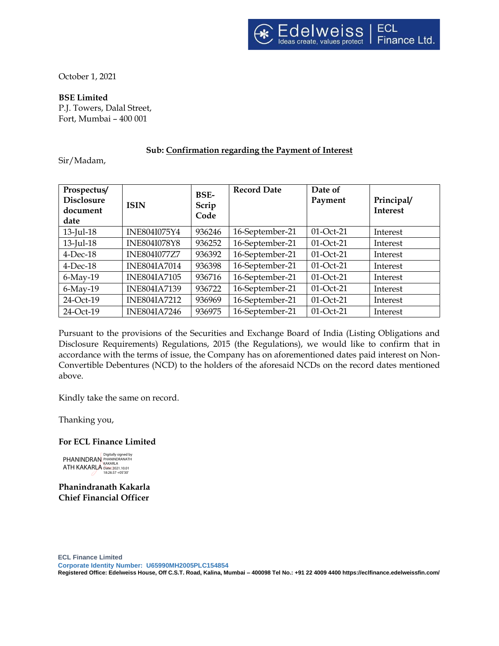October 1, 2021

**BSE Limited**

P.J. Towers, Dalal Street, Fort, Mumbai – 400 001

# **Sub: Confirmation regarding the Payment of Interest**

Sir/Madam,

| Prospectus/<br><b>Disclosure</b><br>document<br>date | <b>ISIN</b>         | <b>BSE-</b><br>Scrip<br>Code | <b>Record Date</b> | Date of<br>Payment | Principal/<br><b>Interest</b> |
|------------------------------------------------------|---------------------|------------------------------|--------------------|--------------------|-------------------------------|
| $13$ -Jul-18                                         | INE804I075Y4        | 936246                       | 16-September-21    | $01$ -Oct-21       | Interest                      |
| $13$ -Jul- $18$                                      | <b>INE804I078Y8</b> | 936252                       | 16-September-21    | $01$ -Oct-21       | Interest                      |
| $4$ -Dec-18                                          | <b>INE804I077Z7</b> | 936392                       | 16-September-21    | $01$ -Oct-21       | Interest                      |
| $4$ -Dec-18                                          | <b>INE804IA7014</b> | 936398                       | 16-September-21    | $01$ -Oct-21       | Interest                      |
| $6$ -May-19                                          | <b>INE804IA7105</b> | 936716                       | 16-September-21    | $01$ -Oct-21       | Interest                      |
| $6$ -May-19                                          | <b>INE804IA7139</b> | 936722                       | 16-September-21    | 01-Oct-21          | Interest                      |
| 24-Oct-19                                            | <b>INE804IA7212</b> | 936969                       | 16-September-21    | 01-Oct-21          | Interest                      |
| 24-Oct-19                                            | <b>INE804IA7246</b> | 936975                       | 16-September-21    | 01-Oct-21          | Interest                      |

Pursuant to the provisions of the Securities and Exchange Board of India (Listing Obligations and Disclosure Requirements) Regulations, 2015 (the Regulations), we would like to confirm that in accordance with the terms of issue, the Company has on aforementioned dates paid interest on Non-Convertible Debentures (NCD) to the holders of the aforesaid NCDs on the record dates mentioned above.

Kindly take the same on record.

Thanking you,

## **For ECL Finance Limited**

PHANINDRAN ATH KAKARLA Digitally signed by PHANINDRANATH KAKARLA Date: 2021.10.01 18:26:37 +05'30'

**Phanindranath Kakarla Chief Financial Officer**